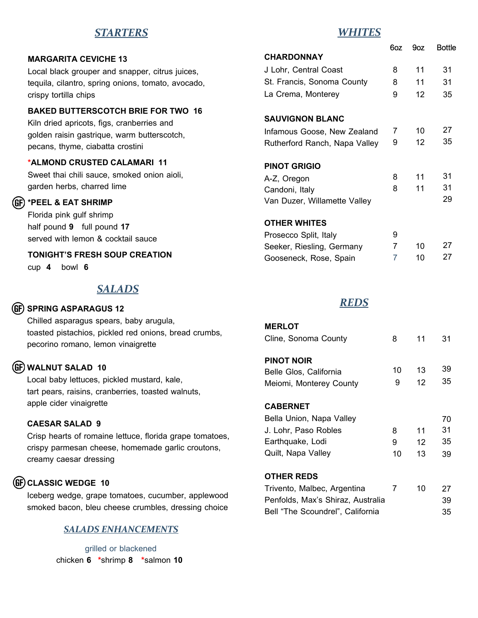# *STARTERS*

## *WHITES*

| <b>MARGARITA CEVICHE 13</b>                        |
|----------------------------------------------------|
| Local black grouper and snapper, citrus juices,    |
| tequila, cilantro, spring onions, tomato, avocado, |
| crispy tortilla chips                              |
| BUTTEBOOOTAU BBIE FAB TWA                          |

## **BAKED BUTTERSCOTCH BRIE FOR TWO 16**

Kiln dried apricots, figs, cranberries and golden raisin gastrique, warm butterscotch, pecans, thyme, ciabatta crostini

### **\*ALMOND CRUSTED CALAMARI 11**

Sweet thai chili sauce, smoked onion aioli, garden herbs, charred lime

## **\*PEEL & EAT SHRIMP**

Florida pink gulf shrimp half pound **9** full pound **17** served with lemon & cocktail sauce

**TONIGHT'S FRESH SOUP CREATION**

cup **4** bowl **6** 

# *SALADS*

### **SPRING ASPARAGUS 12**

Chilled asparagus spears, baby arugula, toasted pistachios, pickled red onions, bread crumbs, pecorino romano, lemon vinaigrette

## **WALNUT SALAD 10**

Local baby lettuces, pickled mustard, kale, tart pears, raisins, cranberries, toasted walnuts, apple cider vinaigrette

#### **CAESAR SALAD 9**

Crisp hearts of romaine lettuce, florida grape tomatoes, crispy parmesan cheese, homemade garlic croutons, creamy caesar dressing

# **CLASSIC WEDGE 10**

Iceberg wedge, grape tomatoes, cucumber, applewood smoked bacon, bleu cheese crumbles, dressing choice

## *SALADS ENHANCEMENTS*

grilled or blackened chicken **6 \***shrimp **8 \***salmon **10**

|                               | 6oz | 9oz               | Bottle |
|-------------------------------|-----|-------------------|--------|
| <b>CHARDONNAY</b>             |     |                   |        |
| J Lohr, Central Coast         | 8   | 11                | 31     |
| St. Francis, Sonoma County    | 8   | 11                | 31     |
| La Crema, Monterey            | 9   | $12 \overline{ }$ | 35     |
| <b>SAUVIGNON BLANC</b>        |     |                   |        |
| Infamous Goose, New Zealand   | 7   | 10                | 27     |
| Rutherford Ranch, Napa Valley | 9   | 12                | 35     |
| <b>PINOT GRIGIO</b>           |     |                   |        |
| A-Z, Oregon                   | 8   | 11                | 31     |
| Candoni, Italy                | 8   | 11                | 31     |
| Van Duzer, Willamette Valley  |     |                   | 29     |
| <b>OTHER WHITES</b>           |     |                   |        |
| Prosecco Split, Italy         | 9   |                   |        |
| Seeker, Riesling, Germany     | 7   | 10                | 27     |
| Gooseneck, Rose, Spain        | 7   | 10                | 27     |

## *REDS*

| <b>MERLOT</b>                     |    |    |    |
|-----------------------------------|----|----|----|
| Cline, Sonoma County              | 8  | 11 | 31 |
|                                   |    |    |    |
| <b>PINOT NOIR</b>                 |    |    |    |
| Belle Glos, California            | 10 | 13 | 39 |
| Meiomi, Monterey County           | 9  | 12 | 35 |
|                                   |    |    |    |
| <b>CABERNET</b>                   |    |    |    |
| Bella Union, Napa Valley          |    |    | 70 |
| J. Lohr, Paso Robles              | 8  | 11 | 31 |
| Earthquake, Lodi                  | 9  | 12 | 35 |
| Quilt, Napa Valley                | 10 | 13 | 39 |
|                                   |    |    |    |
| <b>OTHER REDS</b>                 |    |    |    |
| Trivento, Malbec, Argentina       | 7  | 10 | 27 |
| Penfolds, Max's Shiraz, Australia |    |    | 39 |
| Bell "The Scoundrel", California  |    |    | 35 |